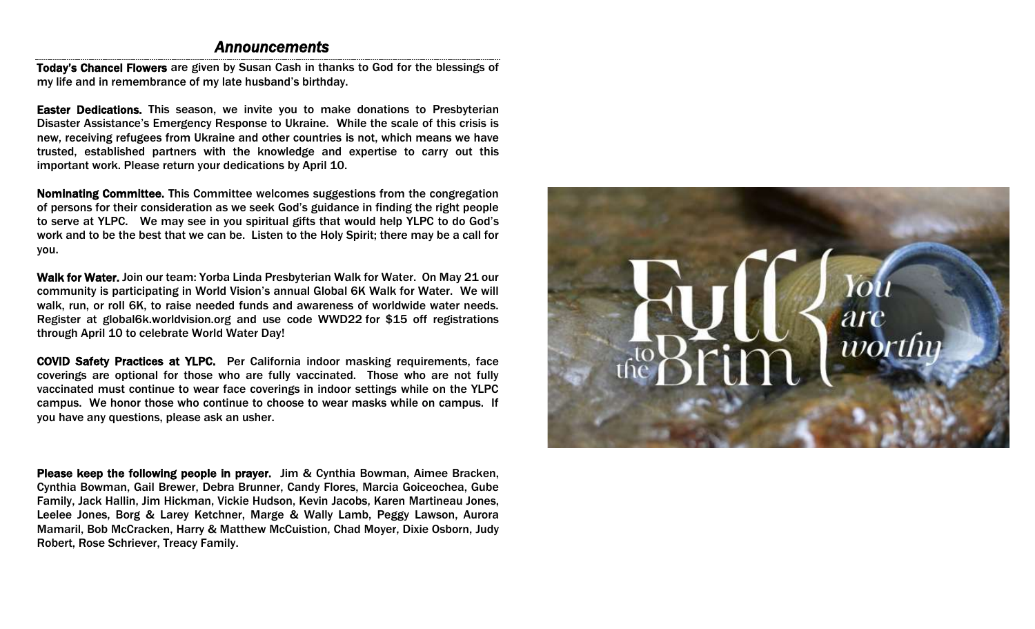### *Announcements*

Today's Chancel Flowers are given by Susan Cash in thanks to God for the blessings of my life and in remembrance of my late husband's birthday.

Easter Dedications. This season, we invite you to make donations to Presbyterian Disaster Assistance's Emergency Response to Ukraine. While the scale of this crisis is new, receiving refugees from Ukraine and other countries is not, which means we have trusted, established partners with the knowledge and expertise to carry out this important work. Please return your dedications by April 10.

Nominating Committee. This Committee welcomes suggestions from the congregation of persons for their consideration as we seek God's guidance in finding the right people to serve at YLPC. We may see in you spiritual gifts that would help YLPC to do God's work and to be the best that we can be. Listen to the Holy Spirit; there may be a call for you.

Walk for Water. Join our team: Yorba Linda Presbyterian Walk for Water. On May 21 our community is participating in World Vision's annual Global 6K Walk for Water. We will walk, run, or roll 6K, to raise needed funds and awareness of worldwide water needs. Register at global6k.worldvision.org and use code WWD22 for \$15 off registrations through April 10 to celebrate World Water Day!

COVID Safety Practices at YLPC. Per California indoor masking requirements, face coverings are optional for those who are fully vaccinated. Those who are not fully vaccinated must continue to wear face coverings in indoor settings while on the YLPC campus. We honor those who continue to choose to wear masks while on campus. If you have any questions, please ask an usher.

Please keep the following people in prayer. Jim & Cynthia Bowman, Aimee Bracken, Cynthia Bowman, Gail Brewer, Debra Brunner, Candy Flores, Marcia Goiceochea, Gube Family, Jack Hallin, Jim Hickman, Vickie Hudson, Kevin Jacobs, Karen Martineau Jones, Leelee Jones, Borg & Larey Ketchner, Marge & Wally Lamb, Peggy Lawson, Aurora Mamaril, Bob McCracken, Harry & Matthew McCuistion, Chad Moyer, Dixie Osborn, Judy Robert, Rose Schriever, Treacy Family.

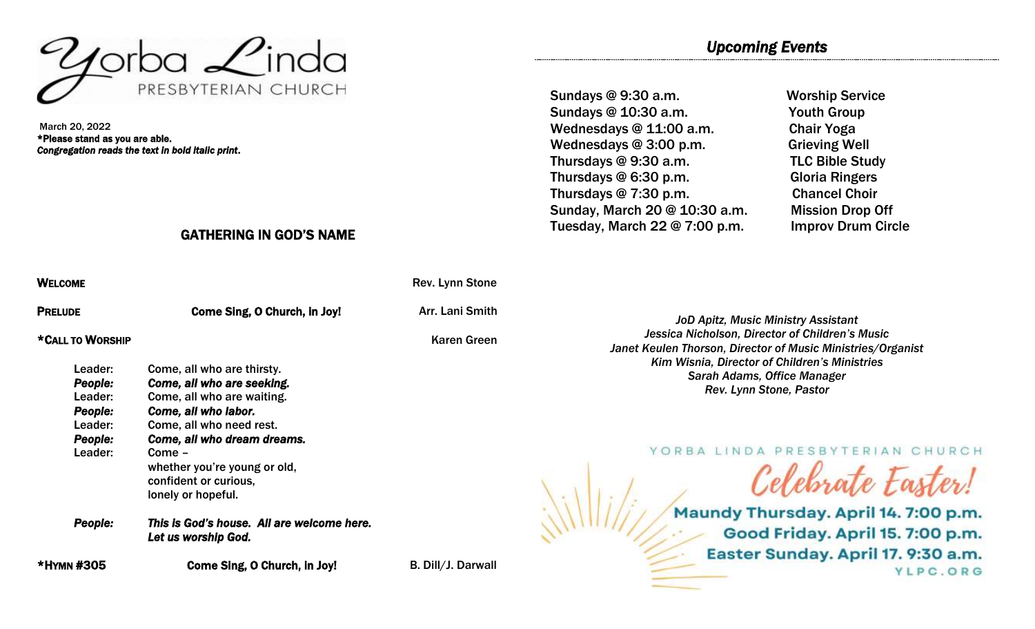

March 20, 2022 \*Please stand as you are able. *Congregation reads the text in bold italic print*.

## GATHERING IN GOD'S NAME

| Welcome                                                                          |                                                                                                                                                                                                                                                                    | Rev. Lynn Stone    |  |
|----------------------------------------------------------------------------------|--------------------------------------------------------------------------------------------------------------------------------------------------------------------------------------------------------------------------------------------------------------------|--------------------|--|
| <b>PRELUDE</b>                                                                   | Come Sing, O Church, in Joy!                                                                                                                                                                                                                                       | Arr. Lani Smith    |  |
| *CALL TO WORSHIP                                                                 |                                                                                                                                                                                                                                                                    | Karen Green        |  |
| Leader:<br><b>People:</b><br>Leader:<br>People:<br>Leader:<br>People:<br>Leader: | Come, all who are thirsty.<br>Come, all who are seeking.<br>Come, all who are waiting.<br>Come, all who labor.<br>Come, all who need rest.<br>Come, all who dream dreams.<br>Come -<br>whether you're young or old,<br>confident or curious,<br>lonely or hopeful. |                    |  |
| <b>People:</b>                                                                   | This is God's house. All are welcome here.<br>Let us worship God.                                                                                                                                                                                                  |                    |  |
| *HYMN #305                                                                       | Come Sing, O Church, in Joy!                                                                                                                                                                                                                                       | B. Dill/J. Darwall |  |

Sundays @ 9:30 a.m. Worship Service Sundays @ 10:30 a.m. Youth Group Wednesdays @ 11:00 a.m. Chair Yoga Wednesdays @ 3:00 p.m. Grieving Well Thursdays @ 9:30 a.m. TLC Bible Study Thursdays @ 6:30 p.m. Gloria Ringers Thursdays @ 7:30 p.m. Chancel Choir Sunday, March 20 @ 10:30 a.m. Mission Drop Off Tuesday, March 22 @ 7:00 p.m. Improv Drum Circle

*JoD Apitz, Music Ministry Assistant Jessica Nicholson, Director of Children's Music Janet Keulen Thorson, Director of Music Ministries/Organist Kim Wisnia, Director of Children's Ministries Sarah Adams, Office Manager Rev. Lynn Stone, Pastor*

YORBA LINDA PRESBYTERIAN CHURCH

Celebrate Easter! Maundy Thursday. April 14. 7:00 p.m. Good Friday. April 15. 7:00 p.m. Easter Sunday. April 17. 9:30 a.m. YLPC.ORG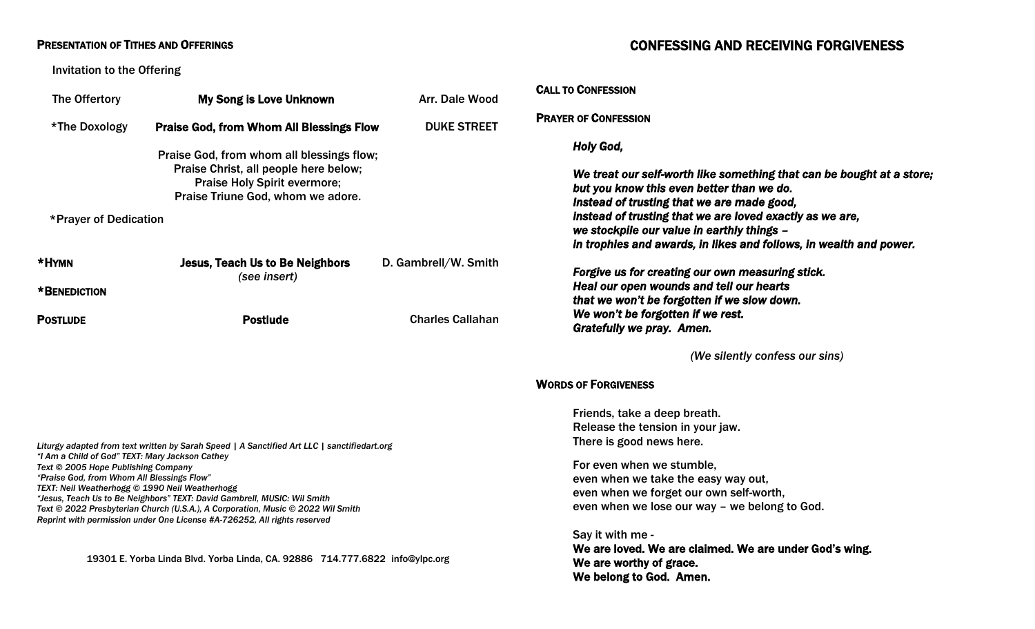### PRESENTATION OF TITHES AND OFFERINGS

Invitation to the Offering

# CONFESSING AND RECEIVING FORGIVENESS

| The Offertory                                                                                                                                                                                                                                                                                                                                                                                                                                                                                                                                                                                                    | My Song is Love Unknown                                                                                                                                                                                  | Arr. Dale Wood          | <b>CALL TO CONFESSION</b>                                                                                                                                                                                                                                                                                                                                                                                                |
|------------------------------------------------------------------------------------------------------------------------------------------------------------------------------------------------------------------------------------------------------------------------------------------------------------------------------------------------------------------------------------------------------------------------------------------------------------------------------------------------------------------------------------------------------------------------------------------------------------------|----------------------------------------------------------------------------------------------------------------------------------------------------------------------------------------------------------|-------------------------|--------------------------------------------------------------------------------------------------------------------------------------------------------------------------------------------------------------------------------------------------------------------------------------------------------------------------------------------------------------------------------------------------------------------------|
| *The Doxology                                                                                                                                                                                                                                                                                                                                                                                                                                                                                                                                                                                                    | <b>Praise God, from Whom All Blessings Flow</b>                                                                                                                                                          | <b>DUKE STREET</b>      | <b>PRAYER OF CONFESSION</b>                                                                                                                                                                                                                                                                                                                                                                                              |
| *Prayer of Dedication<br>*HYMN                                                                                                                                                                                                                                                                                                                                                                                                                                                                                                                                                                                   | Praise God, from whom all blessings flow;<br>Praise Christ, all people here below;<br><b>Praise Holy Spirit evermore;</b><br>Praise Triune God, whom we adore.<br><b>Jesus, Teach Us to Be Neighbors</b> | D. Gambrell/W. Smith    | <b>Holy God,</b><br>We treat our self-worth like something that can be bought at a store;<br>but you know this even better than we do.<br>Instead of trusting that we are made good,<br>instead of trusting that we are loved exactly as we are,<br>we stockpile our value in earthly things -<br>in trophies and awards, in likes and follows, in wealth and power.<br>Forgive us for creating our own measuring stick. |
| *BENEDICTION                                                                                                                                                                                                                                                                                                                                                                                                                                                                                                                                                                                                     | (see insert)                                                                                                                                                                                             |                         | Heal our open wounds and tell our hearts<br>that we won't be forgotten if we slow down.                                                                                                                                                                                                                                                                                                                                  |
| <b>POSTLUDE</b>                                                                                                                                                                                                                                                                                                                                                                                                                                                                                                                                                                                                  | <b>Postlude</b>                                                                                                                                                                                          | <b>Charles Callahan</b> | We won't be forgotten if we rest.<br>Gratefully we pray. Amen.                                                                                                                                                                                                                                                                                                                                                           |
|                                                                                                                                                                                                                                                                                                                                                                                                                                                                                                                                                                                                                  |                                                                                                                                                                                                          |                         | (We silently confess our sins)                                                                                                                                                                                                                                                                                                                                                                                           |
|                                                                                                                                                                                                                                                                                                                                                                                                                                                                                                                                                                                                                  |                                                                                                                                                                                                          |                         | <b>WORDS OF FORGIVENESS</b>                                                                                                                                                                                                                                                                                                                                                                                              |
| Liturgy adapted from text written by Sarah Speed   A Sanctified Art LLC   sanctifiedart.org<br>"I Am a Child of God" TEXT: Mary Jackson Cathey<br>Text © 2005 Hope Publishing Company<br>"Praise God, from Whom All Blessings Flow"<br>TEXT: Neil Weatherhogg © 1990 Neil Weatherhogg<br>"Jesus, Teach Us to Be Neighbors" TEXT: David Gambrell, MUSIC: Wil Smith<br>Text © 2022 Presbyterian Church (U.S.A.), A Corporation, Music © 2022 Wil Smith<br>Reprint with permission under One License #A-726252, All rights reserved<br>19301 E. Yorba Linda Blvd. Yorba Linda, CA. 92886 714.777.6822 info@ylpc.org |                                                                                                                                                                                                          |                         | Friends, take a deep breath.<br>Release the tension in your jaw.<br>There is good news here.<br>For even when we stumble,<br>even when we take the easy way out,<br>even when we forget our own self-worth,<br>even when we lose our way - we belong to God.<br>Say it with me -<br>We are loved. We are claimed. We are under God's wing.<br>We are worthy of grace.<br>We belong to God. Amen.                         |